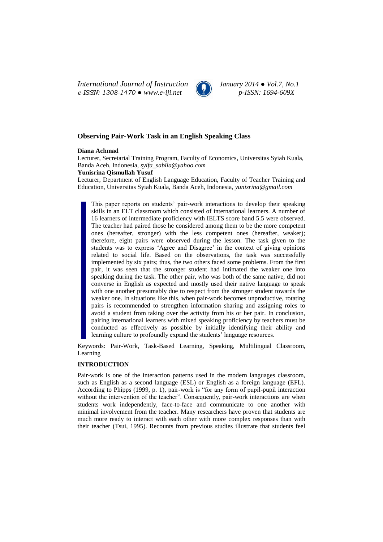*International Journal of Instruction January 2014 ● Vol.7, No.1 e-ISSN: 1308-1470 ● www.e-iji.net p-ISSN: 1694-609X*



# **Observing Pair-Work Task in an English Speaking Class**

### **Diana Achmad**

Lecturer, Secretarial Training Program, Faculty of Economics, Universitas Syiah Kuala, Banda Aceh, Indonesia, *syifa\_sabila@yahoo.com*

### **Yunisrina Qismullah Yusuf**

Lecturer, Department of English Language Education, Faculty of Teacher Training and Education, Universitas Syiah Kuala, Banda Aceh, Indonesia, *yunisrina@gmail.com*

This paper reports on students' pair-work interactions to develop their speaking skills in an ELT classroom which consisted of international learners. A number of 16 learners of intermediate proficiency with IELTS score band 5.5 were observed. The teacher had paired those he considered among them to be the more competent ones (hereafter, stronger) with the less competent ones (hereafter, weaker); therefore, eight pairs were observed during the lesson. The task given to the students was to express 'Agree and Disagree' in the context of giving opinions related to social life. Based on the observations, the task was successfully implemented by six pairs; thus, the two others faced some problems. From the first pair, it was seen that the stronger student had intimated the weaker one into speaking during the task. The other pair, who was both of the same native, did not converse in English as expected and mostly used their native language to speak with one another presumably due to respect from the stronger student towards the weaker one. In situations like this, when pair-work becomes unproductive, rotating pairs is recommended to strengthen information sharing and assigning roles to avoid a student from taking over the activity from his or her pair. In conclusion, pairing international learners with mixed speaking proficiency by teachers must be conducted as effectively as possible by initially identifying their ability and learning culture to profoundly expand the students' language resources.

Keywords: Pair-Work, Task-Based Learning, Speaking, Multilingual Classroom, Learning

# **INTRODUCTION**

Pair-work is one of the interaction patterns used in the modern languages classroom, such as English as a second language (ESL) or English as a foreign language (EFL). According to Phipps (1999, p. 1), pair-work is "for any form of pupil-pupil interaction without the intervention of the teacher". Consequently, pair-work interactions are when students work independently, face-to-face and communicate to one another with minimal involvement from the teacher. Many researchers have proven that students are much more ready to interact with each other with more complex responses than with their teacher (Tsui, 1995). Recounts from previous studies illustrate that students feel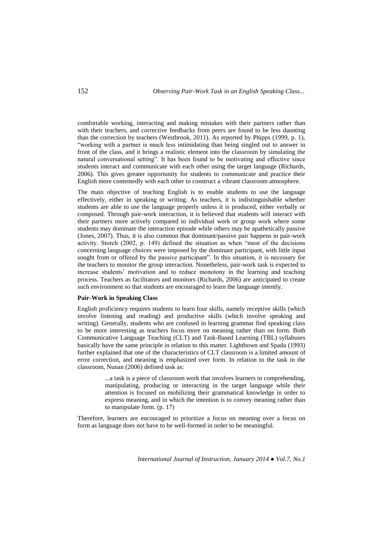comfortable working, interacting and making mistakes with their partners rather than with their teachers, and corrective feedbacks from peers are found to be less daunting than the correction by teachers (Westbrook, 2011). As reported by Phipps (1999, p. 1), "working with a partner is much less intimidating than being singled out to answer in front of the class, and it brings a realistic element into the classroom by simulating the natural conversational setting". It has been found to be motivating and effective since students interact and communicate with each other using the target language (Richards, 2006). This gives greater opportunity for students to communicate and practice their English more contentedly with each other to construct a vibrant classroom atmosphere.

The main objective of teaching English is to enable students to use the language effectively, either in speaking or writing. As teachers, it is indistinguishable whether students are able to use the language properly unless it is produced, either verbally or composed. Through pair-work interaction, it is believed that students will interact with their partners more actively compared to individual work or group work where some students may dominate the interaction episode while others may be apathetically passive (Jones, 2007). Thus, it is also common that dominant/passive pair happens in pair-work activity. Storch (2002, p. 149) defined the situation as when "most of the decisions concerning language choices were imposed by the dominant participant, with little input sought from or offered by the passive participant". In this situation, it is necessary for the teachers to monitor the group interaction. Nonetheless, pair-work task is expected to increase students' motivation and to reduce monotony in the learning and teaching process. Teachers as facilitators and monitors (Richards, 2006) are anticipated to create such environment so that students are encouraged to learn the language intently.

#### **Pair-Work in Speaking Class**

English proficiency requires students to learn four skills, namely receptive skills (which involve listening and reading) and productive skills (which involve speaking and writing). Generally, students who are confused in learning grammar find speaking class to be more interesting as teachers focus more on meaning rather than on form. Both Communicative Language Teaching (CLT) and Task-Based Learning (TBL) syllabuses basically have the same principle in relation to this matter. Lightbown and Spada (1993) further explained that one of the characteristics of CLT classroom is a limited amount of error correction, and meaning is emphasized over form. In relation to the task in the classroom, Nunan (2006) defined task as:

> ...a task is a piece of classroom work that involves learners in comprehending, manipulating, producing or interacting in the target language while their attention is focused on mobilizing their grammatical knowledge in order to express meaning, and in which the intention is to convey meaning rather than to manipulate form. (p. 17)

Therefore, learners are encouraged to prioritize a focus on meaning over a focus on form as language does not have to be well-formed in order to be meaningful.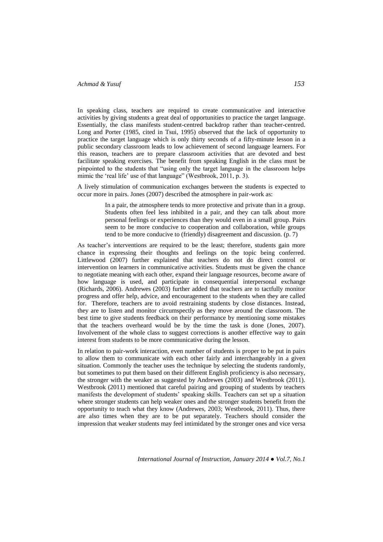In speaking class, teachers are required to create communicative and interactive activities by giving students a great deal of opportunities to practice the target language. Essentially, the class manifests student-centred backdrop rather than teacher-centred. Long and Porter (1985, cited in Tsui, 1995) observed that the lack of opportunity to practice the target language which is only thirty seconds of a fifty-minute lesson in a public secondary classroom leads to low achievement of second language learners. For this reason, teachers are to prepare classroom activities that are devoted and best facilitate speaking exercises. The benefit from speaking English in the class must be pinpointed to the students that "using only the target language in the classroom helps mimic the 'real life' use of that language'' (Westbrook, 2011, p. 3).

A lively stimulation of communication exchanges between the students is expected to occur more in pairs. Jones (2007) described the atmosphere in pair-work as:

> In a pair, the atmosphere tends to more protective and private than in a group. Students often feel less inhibited in a pair, and they can talk about more personal feelings or experiences than they would even in a small group. Pairs seem to be more conducive to cooperation and collaboration, while groups tend to be more conducive to (friendly) disagreement and discussion. (p. 7)

As teacher's interventions are required to be the least; therefore, students gain more chance in expressing their thoughts and feelings on the topic being conferred. Littlewood (2007) further explained that teachers do not do direct control or intervention on learners in communicative activities. Students must be given the chance to negotiate meaning with each other, expand their language resources, become aware of how language is used, and participate in consequential interpersonal exchange (Richards, 2006). Andrewes (2003) further added that teachers are to tactfully monitor progress and offer help, advice, and encouragement to the students when they are called for. Therefore, teachers are to avoid restraining students by close distances. Instead, they are to listen and monitor circumspectly as they move around the classroom. The best time to give students feedback on their performance by mentioning some mistakes that the teachers overheard would be by the time the task is done (Jones, 2007). Involvement of the whole class to suggest corrections is another effective way to gain interest from students to be more communicative during the lesson.

In relation to pair-work interaction, even number of students is proper to be put in pairs to allow them to communicate with each other fairly and interchangeably in a given situation. Commonly the teacher uses the technique by selecting the students randomly, but sometimes to put them based on their different English proficiency is also necessary, the stronger with the weaker as suggested by Andrewes (2003) and Westbrook (2011). Westbrook (2011) mentioned that careful pairing and grouping of students by teachers manifests the development of students' speaking skills. Teachers can set up a situation where stronger students can help weaker ones and the stronger students benefit from the opportunity to teach what they know (Andrewes, 2003; Westbrook, 2011). Thus, there are also times when they are to be put separately. Teachers should consider the impression that weaker students may feel intimidated by the stronger ones and vice versa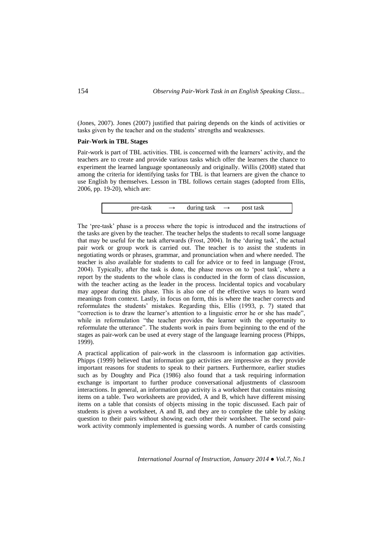(Jones, 2007). Jones (2007) justified that pairing depends on the kinds of activities or tasks given by the teacher and on the students' strengths and weaknesses.

### **Pair-Work in TBL Stages**

Pair-work is part of TBL activities. TBL is concerned with the learners' activity, and the teachers are to create and provide various tasks which offer the learners the chance to experiment the learned language spontaneously and originally. Willis (2008) stated that among the criteria for identifying tasks for TBL is that learners are given the chance to use English by themselves. Lesson in TBL follows certain stages (adopted from Ellis, 2006, pp. 19-20), which are:

pre-task  $\rightarrow$  during task  $\rightarrow$  post task

The 'pre-task' phase is a process where the topic is introduced and the instructions of the tasks are given by the teacher. The teacher helps the students to recall some language that may be useful for the task afterwards (Frost, 2004). In the 'during task', the actual pair work or group work is carried out. The teacher is to assist the students in negotiating words or phrases, grammar, and pronunciation when and where needed. The teacher is also available for students to call for advice or to feed in language (Frost, 2004). Typically, after the task is done, the phase moves on to 'post task', where a report by the students to the whole class is conducted in the form of class discussion, with the teacher acting as the leader in the process. Incidental topics and vocabulary may appear during this phase. This is also one of the effective ways to learn word meanings from context. Lastly, in focus on form, this is where the teacher corrects and reformulates the students' mistakes. Regarding this, Ellis (1993, p. 7) stated that "correction is to draw the learner's attention to a linguistic error he or she has made", while in reformulation "the teacher provides the learner with the opportunity to reformulate the utterance". The students work in pairs from beginning to the end of the stages as pair-work can be used at every stage of the language learning process (Phipps, 1999).

A practical application of pair-work in the classroom is information gap activities. Phipps (1999) believed that information gap activities are impressive as they provide important reasons for students to speak to their partners. Furthermore, earlier studies such as by Doughty and Pica (1986) also found that a task requiring information exchange is important to further produce conversational adjustments of classroom interactions. In general, an information gap activity is a worksheet that contains missing items on a table. Two worksheets are provided, A and B, which have different missing items on a table that consists of objects missing in the topic discussed. Each pair of students is given a worksheet, A and B, and they are to complete the table by asking question to their pairs without showing each other their worksheet. The second pairwork activity commonly implemented is guessing words. A number of cards consisting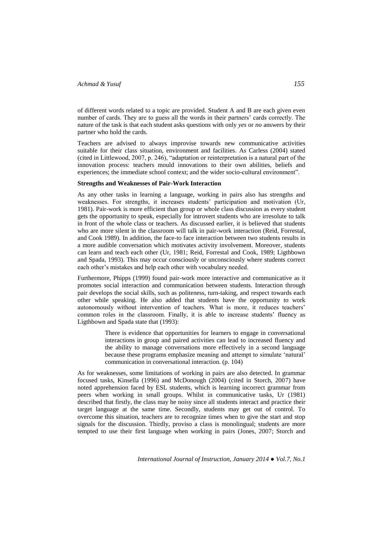of different words related to a topic are provided. Student A and B are each given even number of cards. They are to guess all the words in their partners' cards correctly. The nature of the task is that each student asks questions with only *yes* or *no* answers by their partner who hold the cards.

Teachers are advised to always improvise towards new communicative activities suitable for their class situation, environment and facilities. As Carless (2004) stated (cited in Littlewood, 2007, p. 246), "adaptation or reinterpretation is a natural part of the innovation process: teachers mould innovations to their own abilities, beliefs and experiences; the immediate school context; and the wider socio-cultural environment".

#### **Strengths and Weaknesses of Pair-Work Interaction**

As any other tasks in learning a language, working in pairs also has strengths and weaknesses. For strengths, it increases students' participation and motivation (Ur, 1981). Pair-work is more efficient than group or whole class discussion as every student gets the opportunity to speak, especially for introvert students who are irresolute to talk in front of the whole class or teachers. As discussed earlier, it is believed that students who are more silent in the classroom will talk in pair-work interaction (Reid, Forrestal, and Cook 1989). In addition, the face-to face interaction between two students results in a more audible conversation which motivates activity involvement. Moreover, students can learn and teach each other (Ur, 1981; Reid, Forrestal and Cook, 1989; Ligthbown and Spada, 1993). This may occur consciously or unconsciously where students correct each other's mistakes and help each other with vocabulary needed.

Furthermore, Phipps (1999) found pair-work more interactive and communicative as it promotes social interaction and communication between students. Interaction through pair develops the social skills, such as politeness, turn-taking, and respect towards each other while speaking. He also added that students have the opportunity to work autonomously without intervention of teachers. What is more, it reduces teachers' common roles in the classroom. Finally, it is able to increase students' fluency as Ligthbown and Spada state that (1993):

> There is evidence that opportunities for learners to engage in conversational interactions in group and paired activities can lead to increased fluency and the ability to manage conversations more effectively in a second language because these programs emphasize meaning and attempt to simulate 'natural' communication in conversational interaction. (p. 104)

As for weaknesses, some limitations of working in pairs are also detected. In grammar focused tasks, Kinsella (1996) and McDonough (2004) (cited in Storch, 2007) have noted apprehension faced by ESL students, which is learning incorrect grammar from peers when working in small groups. Whilst in communicative tasks, Ur (1981) described that firstly, the class may be noisy since all students interact and practice their target language at the same time. Secondly, students may get out of control. To overcome this situation, teachers are to recognize times when to give the start and stop signals for the discussion. Thirdly, proviso a class is monolingual; students are more tempted to use their first language when working in pairs (Jones, 2007; Storch and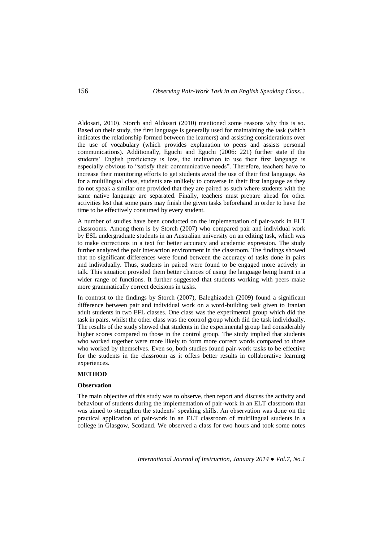Aldosari, 2010). Storch and Aldosari (2010) mentioned some reasons why this is so. Based on their study, the first language is generally used for maintaining the task (which indicates the relationship formed between the learners) and assisting considerations over the use of vocabulary (which provides explanation to peers and assists personal communications). Additionally, Eguchi and Eguchi (2006: 221) further state if the students' English proficiency is low, the inclination to use their first language is especially obvious to "satisfy their communicative needs". Therefore, teachers have to increase their monitoring efforts to get students avoid the use of their first language. As for a multilingual class, students are unlikely to converse in their first language as they do not speak a similar one provided that they are paired as such where students with the same native language are separated. Finally, teachers must prepare ahead for other activities lest that some pairs may finish the given tasks beforehand in order to have the time to be effectively consumed by every student.

A number of studies have been conducted on the implementation of pair-work in ELT classrooms. Among them is by Storch (2007) who compared pair and individual work by ESL undergraduate students in an Australian university on an editing task, which was to make corrections in a text for better accuracy and academic expression. The study further analyzed the pair interaction environment in the classroom. The findings showed that no significant differences were found between the accuracy of tasks done in pairs and individually. Thus, students in paired were found to be engaged more actively in talk. This situation provided them better chances of using the language being learnt in a wider range of functions. It further suggested that students working with peers make more grammatically correct decisions in tasks.

In contrast to the findings by Storch (2007), Baleghizadeh (2009) found a significant difference between pair and individual work on a word-building task given to Iranian adult students in two EFL classes. One class was the experimental group which did the task in pairs, whilst the other class was the control group which did the task individually. The results of the study showed that students in the experimental group had considerably higher scores compared to those in the control group. The study implied that students who worked together were more likely to form more correct words compared to those who worked by themselves. Even so, both studies found pair-work tasks to be effective for the students in the classroom as it offers better results in collaborative learning experiences.

#### **METHOD**

#### **Observation**

The main objective of this study was to observe, then report and discuss the activity and behaviour of students during the implementation of pair-work in an ELT classroom that was aimed to strengthen the students' speaking skills. An observation was done on the practical application of pair-work in an ELT classroom of multilingual students in a college in Glasgow, Scotland. We observed a class for two hours and took some notes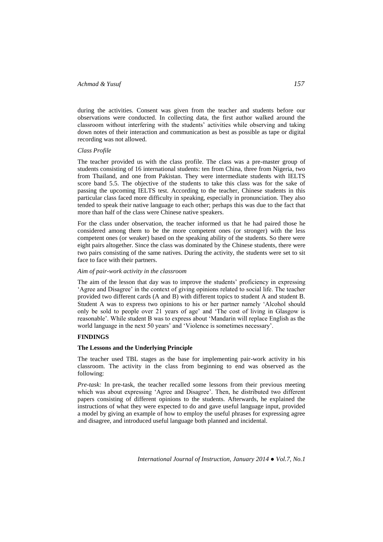during the activities. Consent was given from the teacher and students before our observations were conducted. In collecting data, the first author walked around the classroom without interfering with the students' activities while observing and taking down notes of their interaction and communication as best as possible as tape or digital recording was not allowed.

### *Class Profile*

The teacher provided us with the class profile. The class was a pre-master group of students consisting of 16 international students: ten from China, three from Nigeria, two from Thailand, and one from Pakistan. They were intermediate students with IELTS score band 5.5. The objective of the students to take this class was for the sake of passing the upcoming IELTS test. According to the teacher, Chinese students in this particular class faced more difficulty in speaking, especially in pronunciation. They also tended to speak their native language to each other; perhaps this was due to the fact that more than half of the class were Chinese native speakers.

For the class under observation, the teacher informed us that he had paired those he considered among them to be the more competent ones (or stronger) with the less competent ones (or weaker) based on the speaking ability of the students. So there were eight pairs altogether. Since the class was dominated by the Chinese students, there were two pairs consisting of the same natives. During the activity, the students were set to sit face to face with their partners.

### *Aim of pair-work activity in the classroom*

The aim of the lesson that day was to improve the students' proficiency in expressing 'Agree and Disagree' in the context of giving opinions related to social life. The teacher provided two different cards (A and B) with different topics to student A and student B. Student A was to express two opinions to his or her partner namely 'Alcohol should only be sold to people over 21 years of age' and 'The cost of living in Glasgow is reasonable'. While student B was to express about 'Mandarin will replace English as the world language in the next 50 years' and 'Violence is sometimes necessary'.

# **FINDINGS**

### **The Lessons and the Underlying Principle**

The teacher used TBL stages as the base for implementing pair-work activity in his classroom. The activity in the class from beginning to end was observed as the following:

*Pre-task:* In pre-task, the teacher recalled some lessons from their previous meeting which was about expressing 'Agree and Disagree'. Then, he distributed two different papers consisting of different opinions to the students. Afterwards, he explained the instructions of what they were expected to do and gave useful language input, provided a model by giving an example of how to employ the useful phrases for expressing agree and disagree, and introduced useful language both planned and incidental.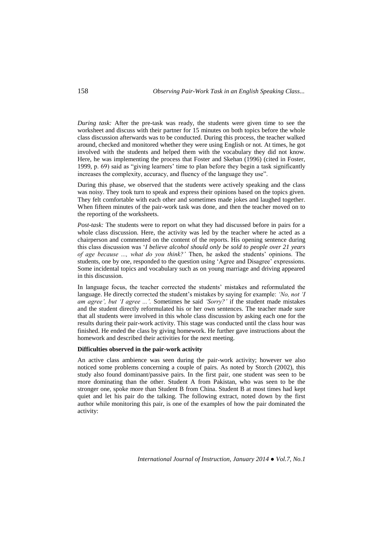*During task:* After the pre-task was ready, the students were given time to see the worksheet and discuss with their partner for 15 minutes on both topics before the whole class discussion afterwards was to be conducted. During this process, the teacher walked around, checked and monitored whether they were using English or not. At times, he got involved with the students and helped them with the vocabulary they did not know. Here, he was implementing the process that Foster and Skehan (1996) (cited in Foster, 1999, p. 69) said as "giving learners' time to plan before they begin a task significantly increases the complexity, accuracy, and fluency of the language they use".

During this phase, we observed that the students were actively speaking and the class was noisy. They took turn to speak and express their opinions based on the topics given. They felt comfortable with each other and sometimes made jokes and laughed together. When fifteen minutes of the pair-work task was done, and then the teacher moved on to the reporting of the worksheets.

*Post-task:* The students were to report on what they had discussed before in pairs for a whole class discussion. Here, the activity was led by the teacher where he acted as a chairperson and commented on the content of the reports. His opening sentence during this class discussion was '*I believe alcohol should only be sold to people over 21 years of age because ..., what do you think?'* Then, he asked the students' opinions. The students, one by one, responded to the question using 'Agree and Disagree' expressions. Some incidental topics and vocabulary such as on young marriage and driving appeared in this discussion.

In language focus, the teacher corrected the students' mistakes and reformulated the language. He directly corrected the student's mistakes by saying for example: *'No, not 'I am agree', but 'I agree ...'.* Sometimes he said *'Sorry?'* if the student made mistakes and the student directly reformulated his or her own sentences. The teacher made sure that all students were involved in this whole class discussion by asking each one for the results during their pair-work activity. This stage was conducted until the class hour was finished. He ended the class by giving homework. He further gave instructions about the homework and described their activities for the next meeting.

### **Difficulties observed in the pair-work activity**

An active class ambience was seen during the pair-work activity; however we also noticed some problems concerning a couple of pairs. As noted by Storch (2002), this study also found dominant/passive pairs. In the first pair, one student was seen to be more dominating than the other. Student A from Pakistan, who was seen to be the stronger one, spoke more than Student B from China. Student B at most times had kept quiet and let his pair do the talking. The following extract, noted down by the first author while monitoring this pair, is one of the examples of how the pair dominated the activity: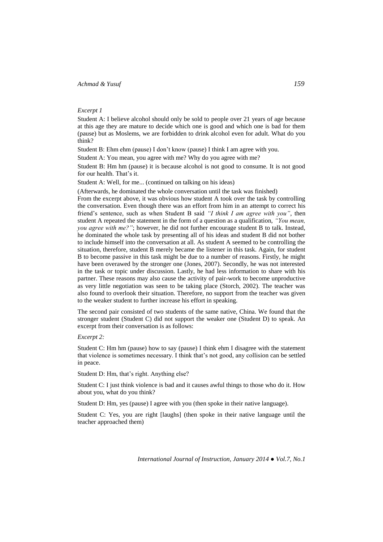# *Excerpt 1*

Student A: I believe alcohol should only be sold to people over 21 years of age because at this age they are mature to decide which one is good and which one is bad for them (pause) but as Moslems, we are forbidden to drink alcohol even for adult. What do you think?

Student B: Ehm ehm (pause) I don't know (pause) I think I am agree with you.

Student A: You mean, you agree with me? Why do you agree with me?

Student B: Hm hm (pause) it is because alcohol is not good to consume. It is not good for our health. That's it.

Student A: Well, for me... (continued on talking on his ideas)

(Afterwards, he dominated the whole conversation until the task was finished) From the excerpt above, it was obvious how student A took over the task by controlling the conversation. Even though there was an effort from him in an attempt to correct his friend's sentence, such as when Student B said *"I think I am agree with you"*, then student A repeated the statement in the form of a question as a qualification, *"You mean, you agree with me?"*; however, he did not further encourage student B to talk. Instead, he dominated the whole task by presenting all of his ideas and student B did not bother to include himself into the conversation at all. As student A seemed to be controlling the situation, therefore, student B merely became the listener in this task. Again, for student B to become passive in this task might be due to a number of reasons. Firstly, he might have been overawed by the stronger one (Jones, 2007). Secondly, he was not interested in the task or topic under discussion. Lastly, he had less information to share with his partner. These reasons may also cause the activity of pair-work to become unproductive as very little negotiation was seen to be taking place (Storch, 2002). The teacher was also found to overlook their situation. Therefore, no support from the teacher was given to the weaker student to further increase his effort in speaking.

The second pair consisted of two students of the same native, China. We found that the stronger student (Student C) did not support the weaker one (Student D) to speak. An excerpt from their conversation is as follows:

### *Excerpt 2:*

Student C: Hm hm (pause) how to say (pause) I think ehm I disagree with the statement that violence is sometimes necessary. I think that's not good, any collision can be settled in peace.

Student D: Hm, that's right. Anything else?

Student C: I just think violence is bad and it causes awful things to those who do it. How about you, what do you think?

Student D: Hm, yes (pause) I agree with you (then spoke in their native language).

Student C: Yes, you are right [laughs] (then spoke in their native language until the teacher approached them)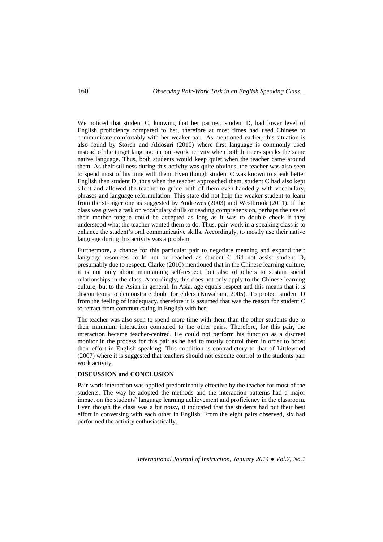We noticed that student C, knowing that her partner, student D, had lower level of English proficiency compared to her, therefore at most times had used Chinese to communicate comfortably with her weaker pair. As mentioned earlier, this situation is also found by Storch and Aldosari (2010) where first language is commonly used instead of the target language in pair-work activity when both learners speaks the same native language. Thus, both students would keep quiet when the teacher came around them. As their stillness during this activity was quite obvious, the teacher was also seen to spend most of his time with them. Even though student C was known to speak better English than student D, thus when the teacher approached them, student C had also kept silent and allowed the teacher to guide both of them even-handedly with vocabulary, phrases and language reformulation. This state did not help the weaker student to learn from the stronger one as suggested by Andrewes (2003) and Westbrook (2011). If the class was given a task on vocabulary drills or reading comprehension, perhaps the use of their mother tongue could be accepted as long as it was to double check if they understood what the teacher wanted them to do. Thus, pair-work in a speaking class is to enhance the student's oral communicative skills. Accordingly, to mostly use their native language during this activity was a problem.

Furthermore, a chance for this particular pair to negotiate meaning and expand their language resources could not be reached as student C did not assist student D, presumably due to respect. Clarke (2010) mentioned that in the Chinese learning culture, it is not only about maintaining self-respect, but also of others to sustain social relationships in the class. Accordingly, this does not only apply to the Chinese learning culture, but to the Asian in general. In Asia, age equals respect and this means that it is discourteous to demonstrate doubt for elders (Kuwahara, 2005). To protect student D from the feeling of inadequacy, therefore it is assumed that was the reason for student C to retract from communicating in English with her.

The teacher was also seen to spend more time with them than the other students due to their minimum interaction compared to the other pairs. Therefore, for this pair, the interaction became teacher-centred. He could not perform his function as a discreet monitor in the process for this pair as he had to mostly control them in order to boost their effort in English speaking. This condition is contradictory to that of Littlewood (2007) where it is suggested that teachers should not execute control to the students pair work activity.

### **DISCUSSION and CONCLUSION**

Pair-work interaction was applied predominantly effective by the teacher for most of the students. The way he adopted the methods and the interaction patterns had a major impact on the students' language learning achievement and proficiency in the classroom. Even though the class was a bit noisy, it indicated that the students had put their best effort in conversing with each other in English. From the eight pairs observed, six had performed the activity enthusiastically.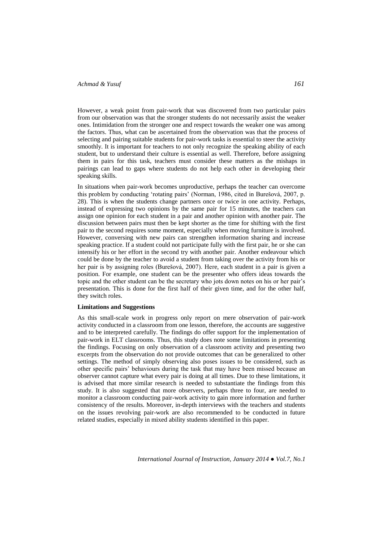However, a weak point from pair-work that was discovered from two particular pairs from our observation was that the stronger students do not necessarily assist the weaker ones. Intimidation from the stronger one and respect towards the weaker one was among the factors. Thus, what can be ascertained from the observation was that the process of selecting and pairing suitable students for pair-work tasks is essential to steer the activity smoothly. It is important for teachers to not only recognize the speaking ability of each student, but to understand their culture is essential as well. Therefore, before assigning them in pairs for this task, teachers must consider these matters as the mishaps in pairings can lead to gaps where students do not help each other in developing their speaking skills.

In situations when pair-work becomes unproductive, perhaps the teacher can overcome this problem by conducting 'rotating pairs' (Norman, 1986, cited in Burešová, 2007, p. 28). This is when the students change partners once or twice in one activity. Perhaps, instead of expressing two opinions by the same pair for 15 minutes, the teachers can assign one opinion for each student in a pair and another opinion with another pair. The discussion between pairs must then be kept shorter as the time for shifting with the first pair to the second requires some moment, especially when moving furniture is involved. However, conversing with new pairs can strengthen information sharing and increase speaking practice. If a student could not participate fully with the first pair, he or she can intensify his or her effort in the second try with another pair. Another endeavour which could be done by the teacher to avoid a student from taking over the activity from his or her pair is by assigning roles (Burešová, 2007). Here, each student in a pair is given a position. For example, one student can be the presenter who offers ideas towards the topic and the other student can be the secretary who jots down notes on his or her pair's presentation. This is done for the first half of their given time, and for the other half, they switch roles.

### **Limitations and Suggestions**

As this small-scale work in progress only report on mere observation of pair-work activity conducted in a classroom from one lesson, therefore, the accounts are suggestive and to be interpreted carefully. The findings do offer support for the implementation of pair-work in ELT classrooms. Thus, this study does note some limitations in presenting the findings. Focusing on only observation of a classroom activity and presenting two excerpts from the observation do not provide outcomes that can be generalized to other settings. The method of simply observing also poses issues to be considered, such as other specific pairs' behaviours during the task that may have been missed because an observer cannot capture what every pair is doing at all times. Due to these limitations, it is advised that more similar research is needed to substantiate the findings from this study. It is also suggested that more observers, perhaps three to four, are needed to monitor a classroom conducting pair-work activity to gain more information and further consistency of the results. Moreover, in-depth interviews with the teachers and students on the issues revolving pair-work are also recommended to be conducted in future related studies, especially in mixed ability students identified in this paper.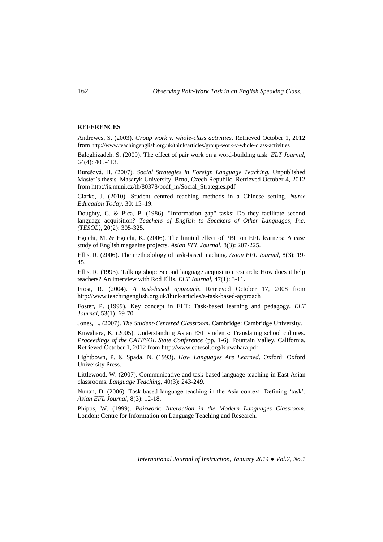# **REFERENCES**

Andrewes, S. (2003). *Group work v. whole-class activities*. Retrieved October 1, 2012 from <http://www.teachingenglish.org.uk/think/articles/group-work-v-whole-class-activities>

Baleghizadeh, S. (2009). The effect of pair work on a word-building task. *ELT Journal,* 64(4): 405-413.

Burešová, H. (2007). *Social Strategies in Foreign Language Teaching.* Unpublished Master's thesis. Masaryk University, Brno, Czech Republic. Retrieved October 4, 2012 from [http://is.muni.cz/th/80378/pedf\\_m/Social\\_Strategies.pdf](http://is.muni.cz/th/80378/pedf_m/Social_Strategies.pdf)

Clarke, J. (2010). Student centred teaching methods in a Chinese setting. *Nurse Education Today,* 30: 15–19.

Doughty, C. & Pica, P. (1986). "Information gap" tasks: Do they facilitate second language acquisition? *Teachers of English to Speakers of Other Languages, Inc. (TESOL),* 20(2): 305-325.

Eguchi, M. & Eguchi, K. (2006). The limited effect of PBL on EFL learners: A case study of English magazine projects. *Asian EFL Journal,* 8(3): 207-225.

Ellis, R. (2006). The methodology of task-based teaching. *Asian EFL Journal,* 8(3): 19- 45.

Ellis, R. (1993). Talking shop: Second language acquisition research: How does it help teachers? An interview with Rod Ellis. *ELT Journal,* 47(1): 3-11.

Frost, R. (2004). *A task-based approach*. Retrieved October 17, 2008 from <http://www.teachingenglish.org.uk/think/articles/a-task-based-approach>

Foster, P. (1999). Key concept in ELT: Task-based learning and pedagogy. *ELT Journal,* 53(1): 69-70.

Jones, L. (2007). *The Student-Centered Classroom.* Cambridge: Cambridge University.

Kuwahara, K. (2005). Understanding Asian ESL students: Translating school cultures. *Proceedings of the CATESOL State Conference* (pp. 1-6). Fountain Valley, California. Retrieved October 1, 2012 from<http://www.catesol.org/Kuwahara.pdf>

Lightbown, P. & Spada. N. (1993). *How Languages Are Learned*. Oxford: Oxford University Press.

Littlewood, W. (2007). Communicative and task-based language teaching in East Asian classrooms. *Language Teaching,* 40(3): 243-249.

Nunan, D. (2006). Task-based language teaching in the Asia context: Defining 'task'. *Asian EFL Journal,* 8(3): 12-18.

Phipps, W. (1999). *Pairwork: Interaction in the Modern Languages Classroom.*  London: Centre for Information on Language Teaching and Research.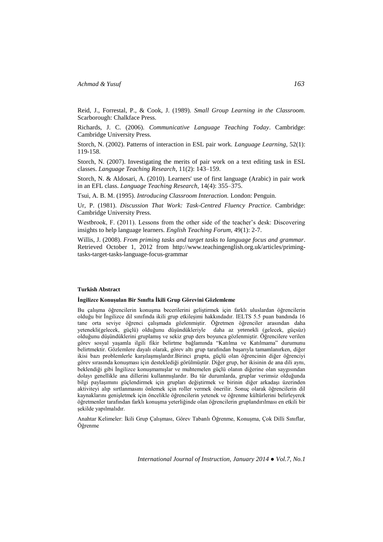Reid, J., Forrestal, P., & Cook, J. (1989). *Small Group Learning in the Classroom.* Scarborough: Chalkface Press.

Richards, J. C. (2006). *Communicative Language Teaching Today*. Cambridge: Cambridge University Press.

Storch, N. (2002). Patterns of interaction in ESL pair work. *Language Learning,* 52(1): 119-158.

Storch, N. (2007). Investigating the merits of pair work on a text editing task in ESL classes. *Language Teaching Research*, 11(2): 143–159.

Storch, N. & Aldosari, A. (2010). Learners' use of first language (Arabic) in pair work in an EFL class. *Language Teaching Research,* 14(4): 355–375.

Tsui, A. B. M. (1995). *Introducing Classroom Interaction.* London: Penguin.

Ur, P. (1981). *Discussion That Work: Task-Centred Fluency Practice.* Cambridge: Cambridge University Press.

Westbrook, F. (2011). Lessons from the other side of the teacher's desk: Discovering insights to help language learners. *English Teaching Forum,* 49(1): 2-7.

Willis, J. (2008). *From priming tasks and target tasks to language focus and grammar*. Retrieved October 1, 2012 from [http://www.teachingenglish.org.uk/articles/priming](http://www.teachingenglish.org.uk/articles/priming-tasks-target-tasks-language-focus-grammar)[tasks-target-tasks-language-focus-grammar](http://www.teachingenglish.org.uk/articles/priming-tasks-target-tasks-language-focus-grammar) 

#### **Turkish Abstract**

#### **İngilizce Konuşulan Bir Sınıfta İkili Grup Görevini Gözlemleme**

Bu çalışma öğrencilerin konuşma becerilerini geliştirmek için farklı uluslardan öğrencilerin olduğu bir İngilizce dil sınıfında ikili grup etkileşimi hakkındadır. IELTS 5.5 puan bandında 16 tane orta seviye öğrenci çalışmada gözlenmiştir. Öğretmen öğrenciler arasından daha yetenekli(gelecek, güçlü) olduğunu düşündükleriyle daha az yetenekli (gelecek, güçsüz) olduğunu düşündüklerini gruplamış ve sekiz grup ders boyunca gözlenmiştir. Öğrencilere verilen görev sosyal yaşamla ilgili fikir belirtme bağlamında "Katılma ve Katılmama" durumunu belirtmektir. Gözlemlere dayalı olarak, görev altı grup tarafından başarıyla tamamlanırken, diğer ikisi bazı problemlerle karşılaşmışlardır.Birinci grupta, güçlü olan öğrencinin diğer öğrenciyi görev sırasında konuşması için desteklediği görülmüştür. Diğer grup, her ikisinin de ana dili aynı, beklendiği gibi İngilizce konuşmamışlar ve muhtemelen güçlü olanın diğerine olan saygısından dolayı genellikle ana dillerini kullanmışlardır. Bu tür durumlarda, gruplar verimsiz olduğunda bilgi paylaşımını güçlendirmek için grupları değiştirmek ve birinin diğer arkadaşı üzerinden aktiviteyi alıp sırtlanmasını önlemek için roller vermek önerilir. Sonuç olarak öğrencilerin dil kaynaklarını genişletmek için öncelikle öğrencilerin yetenek ve öğrenme kültürlerini belirleyerek öğretmenler tarafından farklı konuşma yeterliğinde olan öğrencilerin gruplandırılması en etkili bir şekilde yapılmalıdır.

Anahtar Kelimeler: İkili Grup Çalışması, Görev Tabanlı Öğrenme, Konuşma, Çok Dilli Sınıflar, Öğrenme